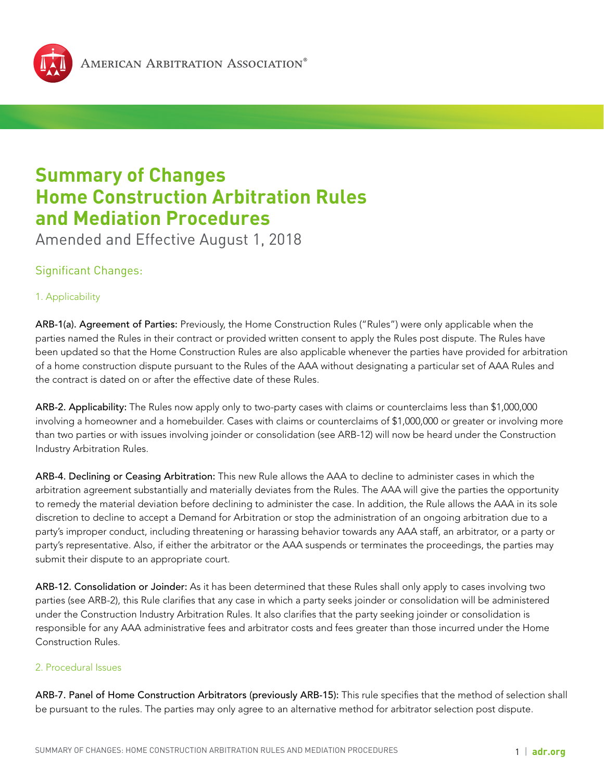# **Summary of Changes Home Construction Arbitration Rules and Mediation Procedures**

Amended and Effective August 1, 2018

## Significant Changes:

#### 1. Applicability

ARB-1(a). Agreement of Parties: Previously, the Home Construction Rules ("Rules") were only applicable when the parties named the Rules in their contract or provided written consent to apply the Rules post dispute. The Rules have been updated so that the Home Construction Rules are also applicable whenever the parties have provided for arbitration of a home construction dispute pursuant to the Rules of the AAA without designating a particular set of AAA Rules and the contract is dated on or after the effective date of these Rules.

ARB-2. Applicability: The Rules now apply only to two-party cases with claims or counterclaims less than \$1,000,000 involving a homeowner and a homebuilder. Cases with claims or counterclaims of \$1,000,000 or greater or involving more than two parties or with issues involving joinder or consolidation (see ARB-12) will now be heard under the Construction Industry Arbitration Rules.

ARB-4. Declining or Ceasing Arbitration: This new Rule allows the AAA to decline to administer cases in which the arbitration agreement substantially and materially deviates from the Rules. The AAA will give the parties the opportunity to remedy the material deviation before declining to administer the case. In addition, the Rule allows the AAA in its sole discretion to decline to accept a Demand for Arbitration or stop the administration of an ongoing arbitration due to a party's improper conduct, including threatening or harassing behavior towards any AAA staff, an arbitrator, or a party or party's representative. Also, if either the arbitrator or the AAA suspends or terminates the proceedings, the parties may submit their dispute to an appropriate court.

ARB-12. Consolidation or Joinder: As it has been determined that these Rules shall only apply to cases involving two parties (see ARB-2), this Rule clarifies that any case in which a party seeks joinder or consolidation will be administered under the Construction Industry Arbitration Rules. It also clarifies that the party seeking joinder or consolidation is responsible for any AAA administrative fees and arbitrator costs and fees greater than those incurred under the Home Construction Rules.

#### 2. Procedural Issues

ARB-7. Panel of Home Construction Arbitrators (previously ARB-15): This rule specifies that the method of selection shall be pursuant to the rules. The parties may only agree to an alternative method for arbitrator selection post dispute.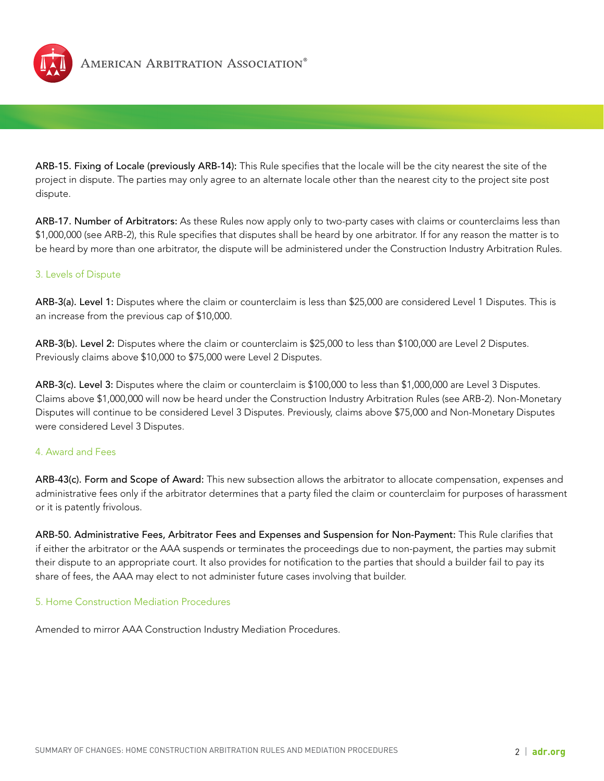

ARB-15. Fixing of Locale (previously ARB-14): This Rule specifies that the locale will be the city nearest the site of the project in dispute. The parties may only agree to an alternate locale other than the nearest city to the project site post dispute.

ARB-17. Number of Arbitrators: As these Rules now apply only to two-party cases with claims or counterclaims less than \$1,000,000 (see ARB-2), this Rule specifies that disputes shall be heard by one arbitrator. If for any reason the matter is to be heard by more than one arbitrator, the dispute will be administered under the Construction Industry Arbitration Rules.

#### 3. Levels of Dispute

ARB-3(a). Level 1: Disputes where the claim or counterclaim is less than \$25,000 are considered Level 1 Disputes. This is an increase from the previous cap of \$10,000.

ARB-3(b). Level 2: Disputes where the claim or counterclaim is \$25,000 to less than \$100,000 are Level 2 Disputes. Previously claims above \$10,000 to \$75,000 were Level 2 Disputes.

ARB-3(c). Level 3: Disputes where the claim or counterclaim is \$100,000 to less than \$1,000,000 are Level 3 Disputes. Claims above \$1,000,000 will now be heard under the Construction Industry Arbitration Rules (see ARB-2). Non-Monetary Disputes will continue to be considered Level 3 Disputes. Previously, claims above \$75,000 and Non-Monetary Disputes were considered Level 3 Disputes.

#### 4. Award and Fees

ARB-43(c). Form and Scope of Award: This new subsection allows the arbitrator to allocate compensation, expenses and administrative fees only if the arbitrator determines that a party filed the claim or counterclaim for purposes of harassment or it is patently frivolous.

ARB-50. Administrative Fees, Arbitrator Fees and Expenses and Suspension for Non-Payment: This Rule clarifies that if either the arbitrator or the AAA suspends or terminates the proceedings due to non-payment, the parties may submit their dispute to an appropriate court. It also provides for notification to the parties that should a builder fail to pay its share of fees, the AAA may elect to not administer future cases involving that builder.

#### 5. Home Construction Mediation Procedures

Amended to mirror AAA Construction Industry Mediation Procedures.